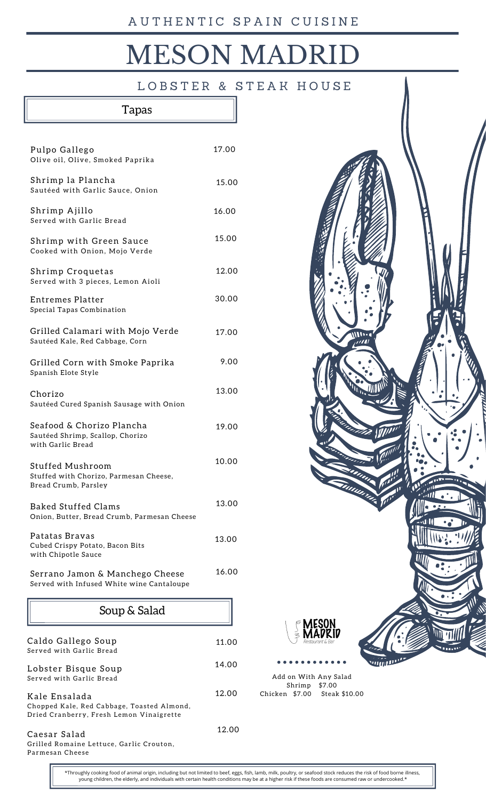# **MESON MADR**

LOBSTER & STEAK HOUSE

# Tapas

| Pulpo Gallego<br>Olive oil, Olive, Smoked Paprika                                                       | 17.00 |
|---------------------------------------------------------------------------------------------------------|-------|
| Shrimp la Plancha<br>Sautéed with Garlic Sauce, Onion                                                   | 15.00 |
| Shrimp Ajillo<br>Served with Garlic Bread                                                               | 16.00 |
| Shrimp with Green Sauce<br>Cooked with Onion, Mojo Verde                                                | 15.00 |
| Shrimp Croquetas<br>Served with 3 pieces, Lemon Aioli                                                   | 12.00 |
| Entremes Platter<br>Special Tapas Combination                                                           | 30.00 |
| Grilled Calamari with Mojo Verde<br>Sautéed Kale, Red Cabbage, Corn                                     | 17.00 |
| Grilled Corn with Smoke Paprika<br>Spanish Elote Style                                                  | 9.00  |
| Chorizo<br>Sautéed Cured Spanish Sausage with Onion                                                     | 13.00 |
| Seafood & Chorizo Plancha<br>Sautéed Shrimp, Scallop, Chorizo<br>with Garlic Bread                      | 19.00 |
| <b>Stuffed Mushroom</b><br>Stuffed with Chorizo, Parmesan Cheese,<br>Bread Crumb, Parsley               | 10.00 |
| <b>Baked Stuffed Clams</b><br>Onion, Butter, Bread Crumb, Parmesan Cheese                               | 13.00 |
| Patatas Bravas<br>Cubed Crispy Potato, Bacon Bits<br>with Chipotle Sauce                                | 13.00 |
| Serrano Jamon & Manchego Cheese<br>Served with Infused White wine Cantaloupe                            | 16.00 |
| Soup & Salad                                                                                            |       |
| Caldo Gallego Soup<br>Served with Garlic Bread                                                          | 11.00 |
| Lobster Bisque Soup<br>Served with Garlic Bread                                                         | 14.00 |
| Kale Ensalada<br>Chopped Kale, Red Cabbage, Toasted Almond,<br>Dried Cranberry, Fresh Lemon Vinaigrette | 12.00 |
| Caesar Salad                                                                                            | 12.00 |

Grilled Romaine Lettuce, Garlic Crouton, Parmesan Cheese



Shrimp \$7.00 Chicken \$7.00 Steak \$10.00

\*Throughly cooking food of animal origin, including but not limited to beef, eggs, fish, lamb, milk, poultry, or seafood stock reduces the risk of food borne illness, young children, the elderly, and individuals with certain health conditions may be at a higher risk if these foods are consumed raw or undercooked.\*